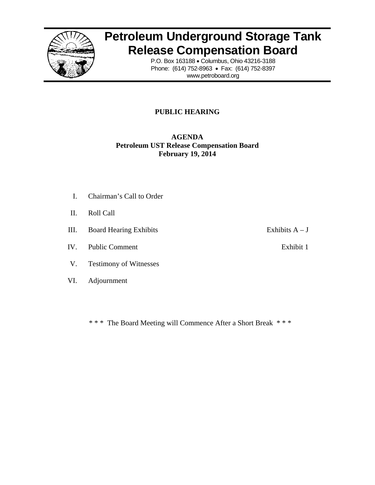

# **Petroleum Underground Storage Tank Release Compensation Board**

P.O. Box 163188 · Columbus, Ohio 43216-3188 Phone: (6 614) 752-8963 3 • Fax: (614 4) 752-8397 www.petroboard.org

## **PUBLIC HEARING**

## **Petroleum UST Release Compensation Board A AGENDA Febru uary 19, 201 14**

- I. Chairman's Call to Order
- II. Roll C Call
- III. III. Board Hearing Exhibits
- IV. V. Public Comment
- V. Testimony of Witnesses
- VI. VI. Adjournment
- Exhibits  $A J$ 
	- Exhibit 1

\*\*\* The Board Meeting will Commence After a Short Break \*\*\*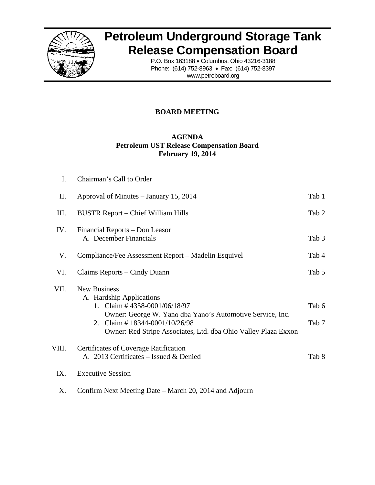

# **Petroleum Underground Storage Tank Release Compensation Board**

P.O. Box 163188 · Columbus, Ohio 43216-3188 Phone: (6 614) 752-8963 3 • Fax: (614 4) 752-8397 www.petroboard.org

## **BOARD MEETING**

## **Petroleum UST Release Compensation Board A AGENDA Febru uary 19, 201 14**

| I.    | Chairman's Call to Order                                                                                                                                                                                                                              |                |
|-------|-------------------------------------------------------------------------------------------------------------------------------------------------------------------------------------------------------------------------------------------------------|----------------|
| П.    | Approval of Minutes – January 15, 2014                                                                                                                                                                                                                | Tab 1          |
| Ш.    | BUSTR Report – Chief William Hills                                                                                                                                                                                                                    | Tab 2          |
| IV.   | Financial Reports – Don Leasor<br>A. December Financials                                                                                                                                                                                              | Tab 3          |
| V.    | Compliance/Fee Assessment Report – Madelin Esquivel                                                                                                                                                                                                   | Tab 4          |
| VI.   | Claims Reports – Cindy Duann                                                                                                                                                                                                                          | Tab 5          |
| VII.  | <b>New Business</b><br>A. Hardship Applications<br>1. Claim # 4358-0001/06/18/97<br>Owner: George W. Yano dba Yano's Automotive Service, Inc.<br>2. Claim # $18344 - 0001/10/26/98$<br>Owner: Red Stripe Associates, Ltd. dba Ohio Valley Plaza Exxon | Tab 6<br>Tab 7 |
| VIII. | <b>Certificates of Coverage Ratification</b><br>A. 2013 Certificates - Issued & Denied                                                                                                                                                                | Tab 8          |
| IX.   | <b>Executive Session</b>                                                                                                                                                                                                                              |                |

X. Confirm Next Meeting Date – March 20, 2014 and Adjourn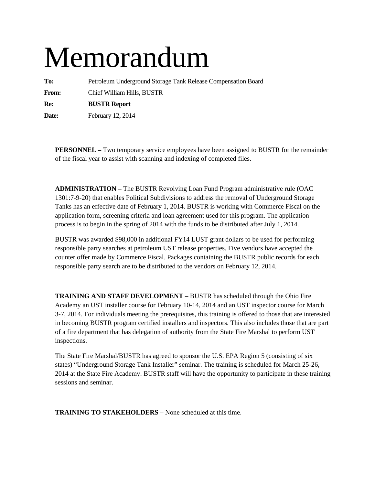# Memorandum

**To:** Petroleum Underground Storage Tank Release Compensation Board **From:** Chief William Hills, BUSTR **Re: BUSTR Report** 

**Date:** February 12, 2014

**PERSONNEL –** Two temporary service employees have been assigned to BUSTR for the remainder of the fiscal year to assist with scanning and indexing of completed files.

**ADMINISTRATION –** The BUSTR Revolving Loan Fund Program administrative rule (OAC 1301:7-9-20) that enables Political Subdivisions to address the removal of Underground Storage Tanks has an effective date of February 1, 2014. BUSTR is working with Commerce Fiscal on the application form, screening criteria and loan agreement used for this program. The application process is to begin in the spring of 2014 with the funds to be distributed after July 1, 2014.

BUSTR was awarded \$98,000 in additional FY14 LUST grant dollars to be used for performing responsible party searches at petroleum UST release properties. Five vendors have accepted the counter offer made by Commerce Fiscal. Packages containing the BUSTR public records for each responsible party search are to be distributed to the vendors on February 12, 2014.

**TRAINING AND STAFF DEVELOPMENT –** BUSTR has scheduled through the Ohio Fire Academy an UST installer course for February 10-14, 2014 and an UST inspector course for March 3-7, 2014. For individuals meeting the prerequisites, this training is offered to those that are interested in becoming BUSTR program certified installers and inspectors. This also includes those that are part of a fire department that has delegation of authority from the State Fire Marshal to perform UST inspections.

The State Fire Marshal/BUSTR has agreed to sponsor the U.S. EPA Region 5 (consisting of six states) "Underground Storage Tank Installer" seminar. The training is scheduled for March 25-26, 2014 at the State Fire Academy. BUSTR staff will have the opportunity to participate in these training sessions and seminar.

**TRAINING TO STAKEHOLDERS** – None scheduled at this time.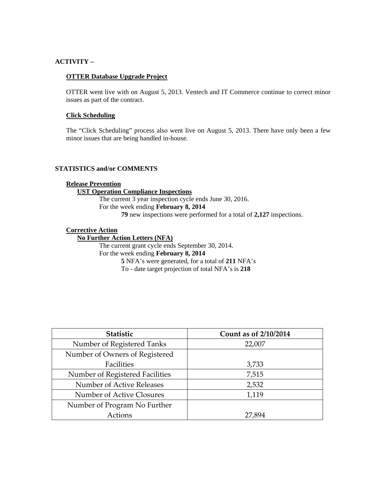## **ACTIVITY –**

#### **OTTER Database Upgrade Project**

OTTER went live with on August 5, 2013. Ventech and IT Commerce continue to correct minor issues as part of the contract.

## **Click Scheduling**

The "Click Scheduling" process also went live on August 5, 2013. There have only been a few minor issues that are being handled in-house.

## **STATISTICS and/or COMMENTS**

#### **Release Prevention**

#### **UST Operation Compliance Inspections**

The current 3 year inspection cycle ends June 30, 2016. For the week ending **February 8, 2014 79** new inspections were performed for a total of **2,127** inspections.

#### **Corrective Action**

## **No Further Action Letters (NFA)** The current grant cycle ends September 30, 2014. For the week ending **February 8, 2014 5** NFA's were generated, for a total of **211** NFA's

To - date target projection of total NFA's is **218** 

| Statistic                       | Count as of 2/10/2014 |
|---------------------------------|-----------------------|
| Number of Registered Tanks      | 22,007                |
| Number of Owners of Registered  |                       |
| Facilities                      | 3,733                 |
| Number of Registered Facilities | 7,515                 |
| Number of Active Releases       | 2,532                 |
| Number of Active Closures       | 1,119                 |
| Number of Program No Further    |                       |
| Actions                         | 27,894                |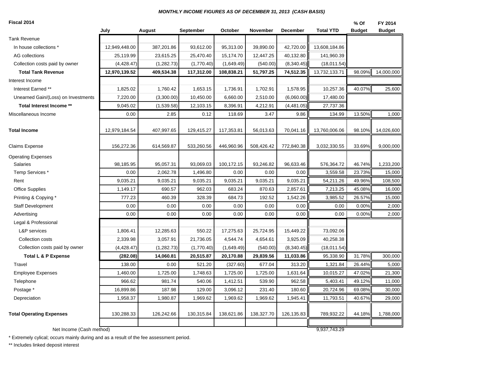#### *MONTHLY INCOME FIGURES AS OF DECEMBER 31, 2013 (CASH BASIS)*

**Fiscal 2014**

| Fiscal 2014                         |               |             |            |            |            |                 |                  | % Of          | FY 2014       |
|-------------------------------------|---------------|-------------|------------|------------|------------|-----------------|------------------|---------------|---------------|
|                                     | July          | August      | September  | October    | November   | <b>December</b> | <b>Total YTD</b> | <b>Budget</b> | <b>Budget</b> |
| <b>Tank Revenue</b>                 |               |             |            |            |            |                 |                  |               |               |
| In house collections *              | 12,949,448.00 | 387,201.86  | 93,612.00  | 95,313.00  | 39,890.00  | 42,720.00       | 13,608,184.86    |               |               |
| AG collections                      | 25,119.99     | 23,615.25   | 25,470.40  | 15,174.70  | 12,447.25  | 40,132.80       | 141,960.39       |               |               |
| Collection costs paid by owner      | (4, 428.47)   | (1,282.73)  | (1,770.40) | (1,649.49) | (540.00)   | (8,340.45)      | (18,011.54)      |               |               |
| <b>Total Tank Revenue</b>           | 12,970,139.52 | 409,534.38  | 117,312.00 | 108,838.21 | 51,797.25  | 74,512.35       | 13,732,133.71    | 98.09%        | 14,000,000    |
| Interest Income                     |               |             |            |            |            |                 |                  |               |               |
| Interest Earned **                  | 1,825.02      | 1,760.42    | 1,653.15   | 1,736.91   | 1,702.91   | 1,578.95        | 10,257.36        | 40.07%        | 25,600        |
| Unearned Gain/(Loss) on Investments | 7,220.00      | (3,300.00)  | 10,450.00  | 6,660.00   | 2,510.00   | (6,060.00)      | 17,480.00        |               |               |
| Total Interest Income **            | 9,045.02      | (1,539.58)  | 12,103.15  | 8,396.91   | 4,212.91   | (4,481.05)      | 27,737.36        |               |               |
| Miscellaneous Income                | 0.00          | 2.85        | 0.12       | 118.69     | 3.47       | 9.86            | 134.99           | 13.50%        | 1,000         |
|                                     |               |             |            |            |            |                 |                  |               |               |
| <b>Total Income</b>                 | 12,979,184.54 | 407,997.65  | 129,415.27 | 117,353.81 | 56,013.63  | 70,041.16       | 13,760,006.06    | 98.10%        | 14,026,600    |
| Claims Expense                      | 156,272.36    | 614,569.87  | 533,260.56 | 446,960.96 | 508,426.42 | 772,840.38      | 3,032,330.55     | 33.69%        | 9,000,000     |
| <b>Operating Expenses</b>           |               |             |            |            |            |                 |                  |               |               |
| Salaries                            | 98,185.95     | 95,057.31   | 93,069.03  | 100,172.15 | 93,246.82  | 96,633.46       | 576,364.72       | 46.74%        | 1,233,200     |
| Temp Services *                     | 0.00          | 2,062.78    | 1,496.80   | 0.00       | 0.00       | 0.00            | 3,559.58         | 23.73%        | 15,000        |
| Rent                                | 9,035.21      | 9,035.21    | 9,035.21   | 9,035.21   | 9,035.21   | 9,035.21        | 54,211.26        | 49.96%        | 108,500       |
| <b>Office Supplies</b>              | 1,149.17      | 690.57      | 962.03     | 683.24     | 870.63     | 2,857.61        | 7,213.25         | 45.08%        | 16,000        |
| Printing & Copying *                | 777.23        | 460.39      | 328.39     | 684.73     | 192.52     | 1,542.26        | 3,985.52         | 26.57%        | 15,000        |
| Staff Development                   | 0.00          | 0.00        | 0.00       | 0.00       | 0.00       | 0.00            | 0.00             | 0.00%         | 2,000         |
| Advertising                         | 0.00          | 0.00        | 0.00       | 0.00       | 0.00       | 0.00            | 0.00             | 0.00%         | 2,000         |
| Legal & Professional                |               |             |            |            |            |                 |                  |               |               |
| L&P services                        | 1,806.41      | 12,285.63   | 550.22     | 17,275.63  | 25,724.95  | 15,449.22       | 73,092.06        |               |               |
| Collection costs                    | 2,339.98      | 3,057.91    | 21,736.05  | 4,544.74   | 4,654.61   | 3,925.09        | 40,258.38        |               |               |
| Collection costs paid by owner      | (4, 428.47)   | (1, 282.73) | (1,770.40) | (1,649.49) | (540.00)   | (8,340.45)      | (18,011.54)      |               |               |
| Total L & P Expense                 | (282.08)      | 14,060.81   | 20,515.87  | 20,170.88  | 29,839.56  | 11,033.86       | 95,338.90        | 31.78%        | 300,000       |
| Travel                              | 138.00        | 0.00        | 521.20     | (327.60)   | 677.04     | 313.20          | 1,321.84         | 26.44%        | 5,000         |
| <b>Employee Expenses</b>            | 1,460.00      | 1,725.00    | 1,748.63   | 1,725.00   | 1,725.00   | 1,631.64        | 10,015.27        | 47.02%        | 21,300        |
| Telephone                           | 966.62        | 981.74      | 540.06     | 1,412.51   | 539.90     | 962.58          | 5,403.41         | 49.12%        | 11,000        |
| Postage *                           | 16,899.86     | 187.98      | 129.00     | 3,096.12   | 231.40     | 180.60          | 20,724.96        | 69.08%        | 30,000        |
| Depreciation                        | 1,958.37      | 1,980.87    | 1,969.62   | 1,969.62   | 1,969.62   | 1,945.41        | 11,793.51        | 40.67%        | 29,000        |
| <b>Total Operating Expenses</b>     | 130,288.33    | 126,242.66  | 130,315.84 | 138,621.86 | 138,327.70 | 126,135.83      | 789,932.22       | 44.18%        | 1,788,000     |
|                                     |               |             |            |            |            |                 |                  |               |               |
| Net Income (Cash method)            |               |             |            |            |            |                 | 9,937,743.29     |               |               |

\* Extremely cylical; occurs mainly during and as a result of the fee assessment period.

\*\* Includes linked deposit interest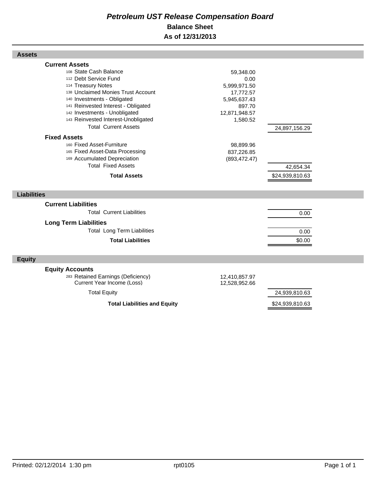## *Petroleum UST Release Compensation Board*  **Balance Sheet As of 12/31/2013**

| <b>Assets</b>                                                                                                                                                                                                                                                                                                                                                                                                                                                         |                                                                                                                                                   |                            |  |
|-----------------------------------------------------------------------------------------------------------------------------------------------------------------------------------------------------------------------------------------------------------------------------------------------------------------------------------------------------------------------------------------------------------------------------------------------------------------------|---------------------------------------------------------------------------------------------------------------------------------------------------|----------------------------|--|
| <b>Current Assets</b><br>108 State Cash Balance<br>112 Debt Service Fund<br>114 Treasury Notes<br>138 Unclaimed Monies Trust Account<br>140 Investments - Obligated<br>141 Reinvested Interest - Obligated<br>142 Investments - Unobligated<br>143 Reinvested Interest-Unobligated<br><b>Total Current Assets</b><br><b>Fixed Assets</b><br>160 Fixed Asset-Furniture<br>165 Fixed Asset-Data Processing<br>169 Accumulated Depreciation<br><b>Total Fixed Assets</b> | 59,348.00<br>0.00<br>5,999,971.50<br>17,772.57<br>5,945,637.43<br>897.70<br>12,871,948.57<br>1,580.52<br>98,899.96<br>837,226.85<br>(893, 472.47) | 24,897,156.29<br>42,654.34 |  |
| <b>Total Assets</b>                                                                                                                                                                                                                                                                                                                                                                                                                                                   |                                                                                                                                                   | \$24,939,810.63            |  |
|                                                                                                                                                                                                                                                                                                                                                                                                                                                                       |                                                                                                                                                   |                            |  |
| <b>Liabilities</b>                                                                                                                                                                                                                                                                                                                                                                                                                                                    |                                                                                                                                                   |                            |  |
| <b>Current Liabilities</b>                                                                                                                                                                                                                                                                                                                                                                                                                                            |                                                                                                                                                   |                            |  |
| <b>Total Current Liabilities</b>                                                                                                                                                                                                                                                                                                                                                                                                                                      |                                                                                                                                                   | 0.00                       |  |
| <b>Long Term Liabilities</b><br><b>Total Long Term Liabilities</b><br><b>Total Liabilities</b>                                                                                                                                                                                                                                                                                                                                                                        |                                                                                                                                                   | 0.00<br>\$0.00             |  |
| <b>Equity</b>                                                                                                                                                                                                                                                                                                                                                                                                                                                         |                                                                                                                                                   |                            |  |
| <b>Equity Accounts</b><br>283 Retained Earnings (Deficiency)<br>Current Year Income (Loss)                                                                                                                                                                                                                                                                                                                                                                            | 12,410,857.97<br>12,528,952.66                                                                                                                    |                            |  |
| <b>Total Equity</b>                                                                                                                                                                                                                                                                                                                                                                                                                                                   |                                                                                                                                                   | 24,939,810.63              |  |
| <b>Total Liabilities and Equity</b>                                                                                                                                                                                                                                                                                                                                                                                                                                   |                                                                                                                                                   | \$24,939,810.63            |  |

Г

Г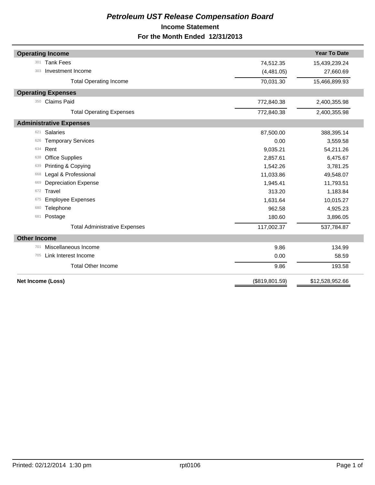## *Petroleum UST Release Compensation Board*  **Income Statement For the Month Ended 12/31/2013**

| <b>Operating Income</b>              |                 | <b>Year To Date</b> |
|--------------------------------------|-----------------|---------------------|
| <b>Tank Fees</b><br>301              | 74,512.35       | 15,439,239.24       |
| Investment Income<br>303             | (4,481.05)      | 27,660.69           |
| <b>Total Operating Income</b>        | 70,031.30       | 15,466,899.93       |
| <b>Operating Expenses</b>            |                 |                     |
| Claims Paid<br>350                   | 772,840.38      | 2,400,355.98        |
| <b>Total Operating Expenses</b>      | 772,840.38      | 2,400,355.98        |
| <b>Administrative Expenses</b>       |                 |                     |
| <b>Salaries</b><br>621               | 87.500.00       | 388,395.14          |
| <b>Temporary Services</b><br>626     | 0.00            | 3,559.58            |
| Rent<br>634                          | 9,035.21        | 54,211.26           |
| <b>Office Supplies</b><br>638        | 2,857.61        | 6,475.67            |
| Printing & Copying<br>639            | 1,542.26        | 3,781.25            |
| Legal & Professional<br>668          | 11,033.86       | 49,548.07           |
| <b>Depreciation Expense</b><br>669   | 1,945.41        | 11,793.51           |
| Travel<br>672                        | 313.20          | 1,183.84            |
| <b>Employee Expenses</b><br>675      | 1,631.64        | 10,015.27           |
| Telephone<br>680                     | 962.58          | 4,925.23            |
| Postage<br>681                       | 180.60          | 3,896.05            |
| <b>Total Administrative Expenses</b> | 117,002.37      | 537,784.87          |
| <b>Other Income</b>                  |                 |                     |
| Miscellaneous Income<br>701          | 9.86            | 134.99              |
| Link Interest Income<br>705          | 0.00            | 58.59               |
| <b>Total Other Income</b>            | 9.86            | 193.58              |
| Net Income (Loss)                    | (\$819, 801.59) | \$12,528,952.66     |
|                                      |                 |                     |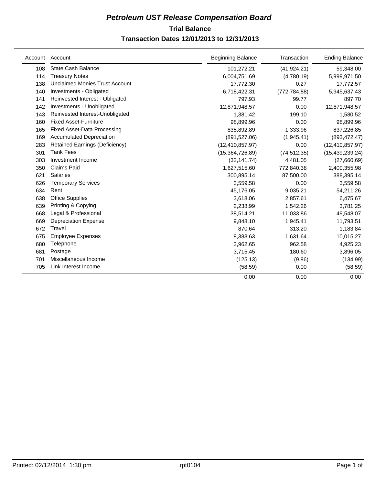## **Trial Balance** *Petroleum UST Release Compensation Board*  **Transaction Dates 12/01/2013 to 12/31/2013**

| Account | Account                               | <b>Beginning Balance</b> | Transaction   | <b>Ending Balance</b> |
|---------|---------------------------------------|--------------------------|---------------|-----------------------|
| 108     | <b>State Cash Balance</b>             | 101,272.21               | (41, 924.21)  | 59,348.00             |
| 114     | <b>Treasury Notes</b>                 | 6,004,751.69             | (4,780.19)    | 5,999,971.50          |
| 138     | <b>Unclaimed Monies Trust Account</b> | 17,772.30                | 0.27          | 17,772.57             |
| 140     | Investments - Obligated               | 6,718,422.31             | (772, 784.88) | 5,945,637.43          |
| 141     | Reinvested Interest - Obligated       | 797.93                   | 99.77         | 897.70                |
| 142     | Investments - Unobligated             | 12,871,948.57            | 0.00          | 12,871,948.57         |
| 143     | Reinvested Interest-Unobligated       | 1,381.42                 | 199.10        | 1,580.52              |
| 160     | <b>Fixed Asset-Furniture</b>          | 98,899.96                | 0.00          | 98,899.96             |
| 165     | <b>Fixed Asset-Data Processing</b>    | 835,892.89               | 1,333.96      | 837,226.85            |
| 169     | <b>Accumulated Depreciation</b>       | (891, 527.06)            | (1,945.41)    | (893, 472.47)         |
| 283     | Retained Earnings (Deficiency)        | (12, 410, 857.97)        | 0.00          | (12, 410, 857.97)     |
| 301     | <b>Tank Fees</b>                      | (15,364,726.89)          | (74, 512.35)  | (15, 439, 239.24)     |
| 303     | Investment Income                     | (32, 141.74)             | 4,481.05      | (27,660.69)           |
| 350     | Claims Paid                           | 1,627,515.60             | 772,840.38    | 2,400,355.98          |
| 621     | <b>Salaries</b>                       | 300,895.14               | 87,500.00     | 388,395.14            |
| 626     | <b>Temporary Services</b>             | 3,559.58                 | 0.00          | 3,559.58              |
| 634     | Rent                                  | 45,176.05                | 9,035.21      | 54,211.26             |
| 638     | <b>Office Supplies</b>                | 3,618.06                 | 2,857.61      | 6,475.67              |
| 639     | Printing & Copying                    | 2,238.99                 | 1,542.26      | 3,781.25              |
| 668     | Legal & Professional                  | 38,514.21                | 11,033.86     | 49,548.07             |
| 669     | <b>Depreciation Expense</b>           | 9.848.10                 | 1,945.41      | 11,793.51             |
| 672     | Travel                                | 870.64                   | 313.20        | 1,183.84              |
| 675     | <b>Employee Expenses</b>              | 8,383.63                 | 1,631.64      | 10,015.27             |
| 680     | Telephone                             | 3,962.65                 | 962.58        | 4,925.23              |
| 681     | Postage                               | 3,715.45                 | 180.60        | 3,896.05              |
| 701     | Miscellaneous Income                  | (125.13)                 | (9.86)        | (134.99)              |
| 705     | Link Interest Income                  | (58.59)                  | 0.00          | (58.59)               |
|         |                                       | 0.00                     | 0.00          | 0.00                  |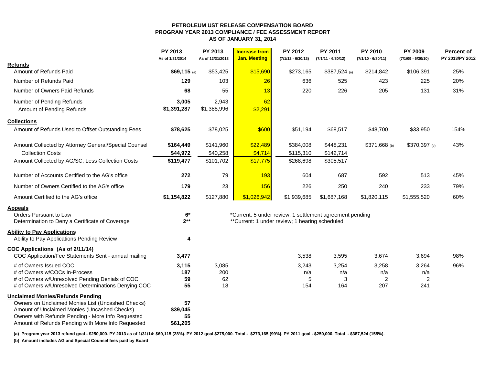#### **PETROLEUM UST RELEASE COMPENSATION BOARD PROGRAM YEAR 2013 COMPLIANCE / FEE ASSESSMENT REPORTAS OF JANUARY 31, 2014**

|                                                      | <b>PY 2013</b><br>As of 1/31/2014 | PY 2013<br>As of 12/31/2013 | <b>Increase from</b><br><b>Jan. Meeting</b>    | PY 2012<br>$(7/1/12 - 6/30/13)$ | <b>PY 2011</b><br>$(7/1/11 - 6/30/12)$                   | <b>PY 2010</b><br>$(7/1/10 - 6/30/11)$ | <b>PY 2009</b><br>$(7/1/09 - 6/30/10)$ | <b>Percent of</b><br>PY 2013/PY 2012 |
|------------------------------------------------------|-----------------------------------|-----------------------------|------------------------------------------------|---------------------------------|----------------------------------------------------------|----------------------------------------|----------------------------------------|--------------------------------------|
| <b>Refunds</b>                                       |                                   |                             |                                                |                                 |                                                          |                                        |                                        |                                      |
| Amount of Refunds Paid                               | \$69,115 (a)                      | \$53,425                    | \$15,690                                       | \$273,165                       | \$387,524 (a)                                            | \$214,842                              | \$106,391                              | 25%                                  |
| Number of Refunds Paid                               | 129                               | 103                         | 26                                             | 636                             | 525                                                      | 423                                    | 225                                    | 20%                                  |
| Number of Owners Paid Refunds                        | 68                                | 55                          | 13                                             | 220                             | 226                                                      | 205                                    | 131                                    | 31%                                  |
| Number of Pending Refunds                            | 3,005                             | 2,943                       | 62                                             |                                 |                                                          |                                        |                                        |                                      |
| Amount of Pending Refunds                            | \$1,391,287                       | \$1,388,996                 | \$2,291                                        |                                 |                                                          |                                        |                                        |                                      |
| <b>Collections</b>                                   |                                   |                             |                                                |                                 |                                                          |                                        |                                        |                                      |
| Amount of Refunds Used to Offset Outstanding Fees    | \$78,625                          | \$78,025                    | \$600                                          | \$51,194                        | \$68,517                                                 | \$48,700                               | \$33,950                               | 154%                                 |
| Amount Collected by Attorney General/Special Counsel | \$164,449                         | \$141,960                   | \$22,489                                       | \$384,008                       | \$448,231                                                | \$371,668 (b)                          | \$370,397 (b)                          | 43%                                  |
| <b>Collection Costs</b>                              | \$44,972                          | \$40,258                    | \$4,714                                        | \$115,310                       | \$142,714                                                |                                        |                                        |                                      |
| Amount Collected by AG/SC, Less Collection Costs     | \$119,477                         | \$101,702                   | \$17,775                                       | \$268,698                       | \$305,517                                                |                                        |                                        |                                      |
| Number of Accounts Certified to the AG's office      | 272                               | 79                          | 193                                            | 604                             | 687                                                      | 592                                    | 513                                    | 45%                                  |
| Number of Owners Certified to the AG's office        | 179                               | 23                          | 156                                            | 226                             | 250                                                      | 240                                    | 233                                    | 79%                                  |
| Amount Certified to the AG's office                  | \$1,154,822                       | \$127,880                   | \$1,026,942                                    | \$1,939,685                     | \$1,687,168                                              | \$1,820,115                            | \$1,555,520                            | 60%                                  |
| <b>Appeals</b>                                       |                                   |                             |                                                |                                 |                                                          |                                        |                                        |                                      |
| Orders Pursuant to Law                               | $6*$                              |                             |                                                |                                 | *Current: 5 under review; 1 settlement agreement pending |                                        |                                        |                                      |
| Determination to Deny a Certificate of Coverage      | $2**$                             |                             | **Current: 1 under review; 1 hearing scheduled |                                 |                                                          |                                        |                                        |                                      |
| <b>Ability to Pay Applications</b>                   |                                   |                             |                                                |                                 |                                                          |                                        |                                        |                                      |
| Ability to Pay Applications Pending Review           | 4                                 |                             |                                                |                                 |                                                          |                                        |                                        |                                      |
| COC Applications (As of 2/11/14)                     |                                   |                             |                                                |                                 |                                                          |                                        |                                        |                                      |
| COC Application/Fee Statements Sent - annual mailing | 3,477                             |                             |                                                | 3,538                           | 3,595                                                    | 3,674                                  | 3,694                                  | 98%                                  |
| # of Owners Issued COC                               | 3,115                             | 3,085                       |                                                | 3,243                           | 3,254                                                    | 3,258                                  | 3,264                                  | 96%                                  |
| # of Owners w/COCs In-Process                        | 187                               | 200                         |                                                | n/a                             | n/a                                                      | n/a                                    | n/a                                    |                                      |
| # of Owners w/Unresolved Pending Denials of COC      | 59                                | 62                          |                                                | 5                               | 3                                                        | $\overline{2}$                         | $\overline{2}$                         |                                      |
| # of Owners w/Unresolved Determinations Denying COC  | 55                                | 18                          |                                                | 154                             | 164                                                      | 207                                    | 241                                    |                                      |
| <b>Unclaimed Monies/Refunds Pending</b>              |                                   |                             |                                                |                                 |                                                          |                                        |                                        |                                      |
| Owners on Unclaimed Monies List (Uncashed Checks)    | 57                                |                             |                                                |                                 |                                                          |                                        |                                        |                                      |
| Amount of Unclaimed Monies (Uncashed Checks)         | \$39,045                          |                             |                                                |                                 |                                                          |                                        |                                        |                                      |
| Owners with Refunds Pending - More Info Requested    | 55                                |                             |                                                |                                 |                                                          |                                        |                                        |                                      |
| Amount of Refunds Pending with More Info Requested   | \$61,205                          |                             |                                                |                                 |                                                          |                                        |                                        |                                      |

**(a) Program year 2013 refund goal - \$250,000. PY 2013 as of 1/31/14: \$69,115 (28%). PY 2012 goal \$275,000. Total - \$273,165 (99%). PY 2011 goal - \$250,000. Total - \$387,524 (155%).** 

**(b) Amount includes AG and Special Counsel fees paid by Board**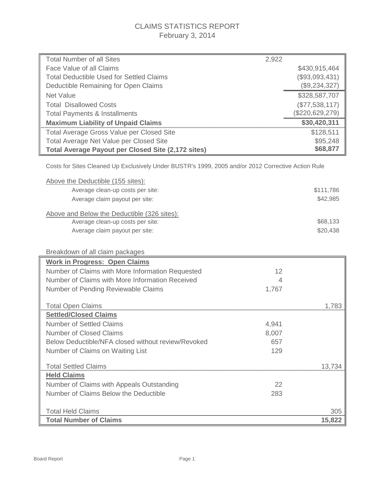## CLAIMS STATISTICS REPORT February 3, 2014

| <b>Total Number of all Sites</b>                                                                   | 2,922 |                 |
|----------------------------------------------------------------------------------------------------|-------|-----------------|
| Face Value of all Claims                                                                           |       | \$430,915,464   |
| <b>Total Deductible Used for Settled Claims</b>                                                    |       | (\$93,093,431)  |
| Deductible Remaining for Open Claims                                                               |       | (\$9,234,327)   |
| <b>Net Value</b>                                                                                   |       | \$328,587,707   |
| <b>Total Disallowed Costs</b>                                                                      |       | (\$77,538,117)  |
| <b>Total Payments &amp; Installments</b>                                                           |       | (\$220,629,279) |
| <b>Maximum Liability of Unpaid Claims</b>                                                          |       | \$30,420,311    |
| Total Average Gross Value per Closed Site                                                          |       | \$128,511       |
| Total Average Net Value per Closed Site                                                            |       | \$95,248        |
| <b>Total Average Payout per Closed Site (2,172 sites)</b>                                          |       | \$68,877        |
|                                                                                                    |       |                 |
| Costs for Sites Cleaned Up Exclusively Under BUSTR's 1999, 2005 and/or 2012 Corrective Action Rule |       |                 |
| Above the Deductible (155 sites):                                                                  |       |                 |
| Average clean-up costs per site:                                                                   |       | \$111,786       |
| Average claim payout per site:                                                                     |       | \$42,985        |
|                                                                                                    |       |                 |
| Above and Below the Deductible (326 sites):                                                        |       |                 |
| Average clean-up costs per site:                                                                   |       | \$68,133        |
| Average claim payout per site:                                                                     |       | \$20,438        |
|                                                                                                    |       |                 |
| Breakdown of all claim packages                                                                    |       |                 |
| <b>Work in Progress: Open Claims</b>                                                               |       |                 |
| Number of Claims with More Information Requested                                                   | 12    |                 |
| Number of Claims with More Information Received                                                    | 4     |                 |
| Number of Pending Reviewable Claims                                                                | 1,767 |                 |
|                                                                                                    |       |                 |
| <b>Total Open Claims</b>                                                                           |       | 1,783           |
| <b>Settled/Closed Claims</b>                                                                       |       |                 |
| <b>Number of Settled Claims</b>                                                                    | 4.941 |                 |
| <b>Number of Closed Claims</b>                                                                     | 8,007 |                 |
| Below Deductible/NFA closed without review/Revoked                                                 | 657   |                 |
| Number of Claims on Waiting List                                                                   | 129   |                 |
|                                                                                                    |       |                 |
| <b>Total Settled Claims</b>                                                                        |       | 13,734          |
| <b>Held Claims</b>                                                                                 |       |                 |
| Number of Claims with Appeals Outstanding                                                          | 22    |                 |
| Number of Claims Below the Deductible                                                              | 283   |                 |
|                                                                                                    |       |                 |
| <b>Total Held Claims</b>                                                                           |       | 305             |
| <b>Total Number of Claims</b>                                                                      |       | 15,822          |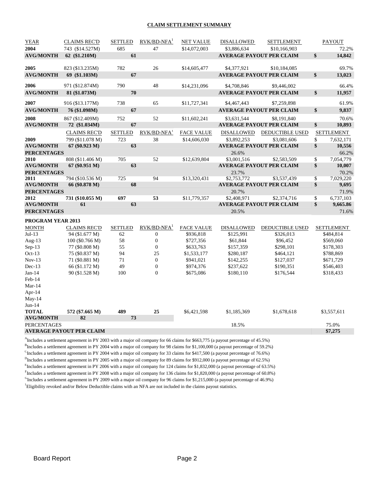#### **CLAIM SETTLEMENT SUMMARY**

| <b>YEAR</b>        | <b>CLAIMS REC'D</b>             | <b>SETTLED</b> | $RVK/BD-NFA1$           | <b>NET VALUE</b>  | <b>DISALLOWED</b> | SETTLEMENT                      |          | <b>PAYOUT</b>     |
|--------------------|---------------------------------|----------------|-------------------------|-------------------|-------------------|---------------------------------|----------|-------------------|
| 2004               | 743 (\$14.527M)                 | 685            | 47                      | \$14,072,003      | \$3,886,634       | \$10,166,903                    |          | 72.2%             |
| <b>AVG/MONTH</b>   | 62 (\$1.210M)                   | 61             |                         |                   |                   | <b>AVERAGE PAYOUT PER CLAIM</b> | \$       | 14,842            |
|                    |                                 |                |                         |                   |                   |                                 |          |                   |
| 2005               | 823 (\$13.235M)                 | 782            | 26                      | \$14,605,477      | \$4,377,921       | \$10,184,085                    |          | 69.7%             |
| <b>AVG/MONTH</b>   | 69 (\$1.103M)                   | 67             |                         |                   |                   | <b>AVERAGE PAYOUT PER CLAIM</b> | \$       | 13,023            |
| 2006               | 971 (\$12.874M)                 | 790            | 48                      | \$14,231,096      | \$4,708,846       | \$9,446,002                     |          | 66.4%             |
| <b>AVG/MONTH</b>   | 81 (\$1.073M)                   | 70             |                         |                   |                   | <b>AVERAGE PAYOUT PER CLAIM</b> | \$       | 11,957            |
|                    |                                 |                |                         |                   |                   |                                 |          |                   |
| 2007               | 916 (\$13.177M)                 | 738            | 65                      | \$11,727,341      | \$4,467,443       | \$7,259,898                     |          | 61.9%             |
| <b>AVG/MONTH</b>   | 76 (\$1.098M)                   | 67             |                         |                   |                   | <b>AVERAGE PAYOUT PER CLAIM</b> | \$       | 9,837             |
| 2008               | 867 (\$12.409M)                 | 752            | 52                      | \$11,602,241      | \$3,631,544       | \$8,191,840                     |          | 70.6%             |
| <b>AVG/MONTH</b>   | 72 (\$1.034M)                   | 67             |                         |                   |                   | <b>AVERAGE PAYOUT PER CLAIM</b> | \$       | 10,893            |
|                    | <b>CLAIMS REC'D</b>             | <b>SETTLED</b> | RVK/BD-NFA <sup>1</sup> | <b>FACE VALUE</b> | DISALLOWED        | DEDUCTIBLE USED                 |          | <b>SETTLEMENT</b> |
| 2009               | 799 (\$11.078 M)                | 723            | 38                      | \$14,606,030      | \$3,892,253       | \$3,081,606                     | \$       | 7,632,171         |
| <b>AVG/MONTH</b>   | 67 (\$0.923 M)                  | 63             |                         |                   |                   | <b>AVERAGE PAYOUT PER CLAIM</b> | \$       | 10,556            |
| <b>PERCENTAGES</b> |                                 |                |                         |                   | 26.6%             |                                 |          | 66.2%             |
| 2010               | 808 (\$11.406 M)                | 705            | 52                      | \$12,639,804      | \$3,001,516       | \$2,583,509                     | \$       | 7,054,779         |
| <b>AVG/MONTH</b>   | 67 (\$0.951 M)                  | 63             |                         |                   |                   | <b>AVERAGE PAYOUT PER CLAIM</b> | \$       | 10,007            |
| <b>PERCENTAGES</b> |                                 |                |                         |                   | 23.7%             |                                 |          | 70.2%             |
| 2011               | 794 (\$10.536 M)                | 725            | 94                      | \$13,320,431      | \$2,753,772       | \$3,537,439                     | \$       | 7,029,220         |
| <b>AVG/MONTH</b>   | 66 (\$0.878 M)                  | 68             |                         |                   |                   | <b>AVERAGE PAYOUT PER CLAIM</b> | \$       | 9,695             |
| <b>PERCENTAGES</b> |                                 |                |                         |                   | 20.7%             |                                 |          | 71.9%             |
| 2012               | 731 (\$10.055 M)                | 697<br>63      | 53                      | \$11,779,357      | \$2,408,971       | \$2,374,716                     | \$<br>\$ | 6,737,103         |
| <b>AVG/MONTH</b>   | 61                              |                |                         |                   |                   | <b>AVERAGE PAYOUT PER CLAIM</b> |          | 9,665.86          |
| <b>PERCENTAGES</b> |                                 |                |                         |                   | 20.5%             |                                 |          | 71.6%             |
| PROGRAM YEAR 2013  |                                 |                |                         |                   |                   |                                 |          |                   |
| <b>MONTH</b>       | <b>CLAIMS REC'D</b>             | <b>SETTLED</b> | $RVK/BD-NFA1$           | <b>FACE VALUE</b> | <b>DISALLOWED</b> | DEDUCTIBLE USED                 |          | <b>SETTLEMENT</b> |
| $Jul-13$           | 94 (\$1.677 M)                  | 62             | $\boldsymbol{0}$        | \$936,818         | \$125,991         | \$326,013                       |          | \$484,814         |
| Aug-13             | 100 (\$0.766 M)                 | 58             | $\boldsymbol{0}$        | \$727,356         | \$61,844          | \$96,452                        |          | \$569,060         |
| $Sep-13$           | 77 (\$0.808 M)                  | 55             | $\boldsymbol{0}$        | \$633,763         | \$157,359         | \$298,101                       |          | \$178,303         |
| $Oct-13$           | 75 (\$0.837 M)                  | 94             | 25                      | \$1,533,177       | \$280,187         | \$464,121                       |          | \$788,869         |
| $Nov-13$           | 71 (\$0.881 M)                  | 71             | $\boldsymbol{0}$        | \$941,021         | \$142,255         | \$127,037                       |          | \$671,729         |
| $Dec-13$           | 66 (\$1.172 M)                  | 49             | $\boldsymbol{0}$        | \$974,376         | \$237,622         | \$190,351                       |          | \$546,403         |
| $Jan-14$           | 90 (\$1.528 M)                  | 100            | $\theta$                | \$675,086         | \$180,110         | \$176,544                       |          | \$318,433         |
| Feb-14<br>$Mar-14$ |                                 |                |                         |                   |                   |                                 |          |                   |
| Apr-14             |                                 |                |                         |                   |                   |                                 |          |                   |
| May-14             |                                 |                |                         |                   |                   |                                 |          |                   |
| $Jun-14$           |                                 |                |                         |                   |                   |                                 |          |                   |
| <b>TOTAL</b>       | 572 (\$7.665 M)                 | 489            | 25                      | \$6,421,598       | \$1,185,369       | \$1,678,618                     |          | \$3,557,611       |
| <b>AVG/MONTH</b>   | 82                              | 73             |                         |                   |                   |                                 |          |                   |
| <b>PERCENTAGES</b> |                                 |                |                         |                   | 18.5%             |                                 |          | 75.0%             |
|                    | <b>AVERAGE PAYOUT PER CLAIM</b> |                |                         |                   |                   |                                 |          | \$7,275           |
|                    |                                 |                |                         |                   |                   |                                 |          |                   |

A Includes a settlement agreement in PY 2003 with a major oil company for 66 claims for \$663,775 (a payout percentage of 45.5%)

<sup>B</sup>Includes a settlement agreement in PY 2004 with a major oil company for 98 claims for \$1,100,000 (a payout percentage of 59.2%)

<sup>C</sup>Includes a settlement agreement in PY 2004 with a major oil company for 33 claims for \$417,500 (a payout percentage of 76.6%)

<sup>D</sup>Includes a settlement agreement in PY 2005 with a major oil company for 89 claims for \$912,000 (a payout percentage of 62.5%)

<sup>E</sup>Includes a settlement agreement in PY 2006 with a major oil company for 124 claims for \$1,832,000 (a payout percentage of 63.5%)

Fincludes a settlement agreement in PY 2008 with a major oil company for 136 claims for \$1,820,000 (a payout percentage of 60.8%)

GIncludes a settlement agreement in PY 2009 with a major oil company for 96 claims for \$1,215,000 (a payout percentage of 46.9%) <sup>1</sup>Eligibility revoked and/or Below Deductible claims with an NFA are not included in the claims payout statistics.

Board Report **Page 2**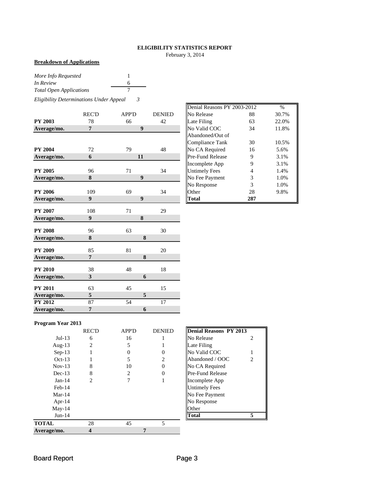## **ELIGIBILITY STATISTICS REPORT**

February 3, 2014

## **Breakdown of Applications**

| More Info Requested            |   |
|--------------------------------|---|
| In Review                      | 6 |
| <b>Total Open Applications</b> |   |

*Eligibility Determinations Under Appeal 3*

|                               | <b>REC'D</b>     | <b>APP'D</b>     | <b>DENIED</b>   | No Release           | 88             | 30.7% |
|-------------------------------|------------------|------------------|-----------------|----------------------|----------------|-------|
| <b>PY 2003</b>                | 78               | 66               | 42              | Late Filing          | 63             | 22.0% |
| Average/mo.                   | $\overline{7}$   | $\boldsymbol{9}$ |                 | No Valid COC         | 34             | 11.8% |
|                               |                  |                  |                 | Abandoned/Out of     |                |       |
|                               |                  |                  |                 | Compliance Tank      | 30             | 10.5% |
| <b>PY 2004</b>                | 72               | 79               | 48              | No CA Required       | 16             | 5.6%  |
| Average/mo.                   | 6                | 11               |                 | Pre-Fund Release     | 9              | 3.1%  |
|                               |                  |                  |                 | Incomplete App       | 9              | 3.1%  |
| <b>PY 2005</b>                | 96               | 71               | 34              | <b>Untimely Fees</b> | $\overline{4}$ | 1.4%  |
| Average/mo.                   | 8                | $\boldsymbol{9}$ |                 | No Fee Payment       | 3              | 1.0%  |
|                               |                  |                  |                 | No Response          | 3              | 1.0%  |
| <b>PY 2006</b>                | 109              | 69               | 34              | Other                | 28             | 9.8%  |
| Average/mo.                   | 9                | $\boldsymbol{9}$ |                 | <b>Total</b>         | 287            |       |
| <b>PY 2007</b>                | 108              | 71               | 29              |                      |                |       |
| Average/mo.                   | $\boldsymbol{9}$ | 8                |                 |                      |                |       |
|                               |                  |                  |                 |                      |                |       |
| <b>PY 2008</b>                | 96               | 63               | 30              |                      |                |       |
| Average/mo.                   | 8                | 8                |                 |                      |                |       |
| <b>PY 2009</b>                | 85               | 81               | 20              |                      |                |       |
| Average/mo.                   | $\overline{7}$   | 8                |                 |                      |                |       |
| <b>PY 2010</b>                | 38               | 48               | 18              |                      |                |       |
| Average/mo.                   | 3                |                  | 6               |                      |                |       |
|                               |                  |                  |                 |                      |                |       |
| <b>PY 2011</b>                | 63               | 45               | 15<br>5         |                      |                |       |
| Average/mo.<br><b>PY 2012</b> | $\sqrt{5}$<br>87 | 54               | $\overline{17}$ |                      |                |       |
|                               |                  |                  |                 |                      |                |       |
| Average/mo.                   | 7                |                  | 6               |                      |                |       |

|       |              |               | Denial Reasons PY 2003-2012 |     | $\frac{0}{0}$ |
|-------|--------------|---------------|-----------------------------|-----|---------------|
| REC'D | <b>APP'D</b> | <b>DENIED</b> | No Release                  | 88  | 30.7%         |
| 78    | 66           | 42            | Late Filing                 | 63  | 22.0%         |
| 7     | 9            |               | No Valid COC                | 34  | 11.8%         |
|       |              |               | Abandoned/Out of            |     |               |
|       |              |               | <b>Compliance Tank</b>      | 30  | 10.5%         |
| 72    | 79           | 48            | No CA Required              | 16  | 5.6%          |
| 6     | 11           |               | <b>Pre-Fund Release</b>     | 9   | 3.1%          |
|       |              |               | Incomplete App              | 9   | 3.1%          |
| 96    | 71           | 34            | <b>Untimely Fees</b>        | 4   | 1.4%          |
| 8     | 9            |               | No Fee Payment              | 3   | 1.0%          |
|       |              |               | No Response                 | 3   | 1.0%          |
| 109   | 69           | 34            | Other                       | 28  | 9.8%          |
| 9     | 9            |               | Total                       | 287 |               |

## **Program Year 2013**

|              | <b>REC'D</b> | <b>APP'D</b> | <b>DENIED</b> | <b>Denial Reasons PY 2013</b> |                |
|--------------|--------------|--------------|---------------|-------------------------------|----------------|
| $Jul-13$     | 6            | 16           |               | No Release                    | $\overline{c}$ |
| Aug- $13$    | 2            | 5            |               | Late Filing                   |                |
| $Sep-13$     |              | 0            |               | No Valid COC                  |                |
| $Oct-13$     |              | 5            | 2             | Abandoned / OOC               | $\overline{c}$ |
| $Nov-13$     | 8            | 10           |               | No CA Required                |                |
| $Dec-13$     | 8            | 2            |               | Pre-Fund Release              |                |
| $Jan-14$     | 2            |              |               | Incomplete App                |                |
| $Feb-14$     |              |              |               | <b>Untimely Fees</b>          |                |
| $Mar-14$     |              |              |               | No Fee Payment                |                |
| Apr- $14$    |              |              |               | No Response                   |                |
| $May-14$     |              |              |               | Other                         |                |
| $Jun-14$     |              |              |               | <b>Total</b>                  |                |
| <b>TOTAL</b> | 28           | 45           | 5             |                               |                |
| Average/mo.  |              |              |               |                               |                |

| IIDeniai Keasons-FY-ZU13 |   |
|--------------------------|---|
| No Release               | 2 |
| Late Filing              |   |
| No Valid COC             | 1 |
| Abandoned / OOC          | 2 |
| No CA Required           |   |
| Pre-Fund Release         |   |
| Incomplete App           |   |
| <b>Untimely Fees</b>     |   |
| No Fee Payment           |   |
| No Response              |   |
| <b>Other</b>             |   |
| ıtal                     |   |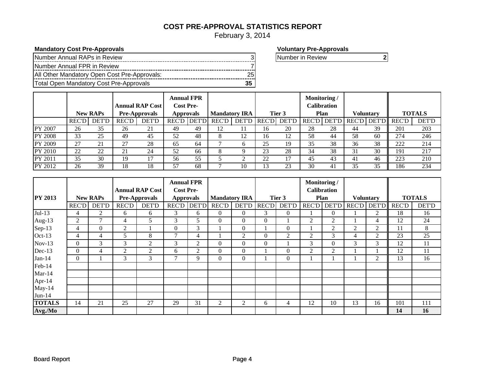## **COST PRE-APPROVAL STATISTICS REPORT**

February 3, 2014

## **Mandatory Cost Pre-Approvals**<br> **Mandatory Cost Pre-Approvals**

| Number Annual RAPs in Review                 |  |
|----------------------------------------------|--|
| Number Annual FPR in Review                  |  |
| All Other Mandatory Open Cost Pre-Approvals: |  |
| Total Open Mandatory Cost Pre-Approvals      |  |

Number in Review **2**

|                |              | <b>New RAPs</b> |              | <b>Annual RAP Cost</b><br><b>Pre-Approvals</b> | <b>Annual FPR</b><br><b>Cost Pre-</b><br><b>Approvals</b> |              | <b>Mandatory IRA</b> |              |               | Tier 3       | Monitoring/ | Calibration<br><b>Plan</b> |         | <b>Voluntary</b> |             | <b>TOTALS</b> |
|----------------|--------------|-----------------|--------------|------------------------------------------------|-----------------------------------------------------------|--------------|----------------------|--------------|---------------|--------------|-------------|----------------------------|---------|------------------|-------------|---------------|
|                | <b>REC'D</b> | DET'D           | <b>REC'D</b> | <b>DET'D</b>                                   | <b>REC'D</b>                                              | <b>DET'D</b> | <b>REC'D</b>         | DET'D        | <b>REC'DI</b> | <b>DET'D</b> |             | <b>REC'D DET'D</b>         | REC'D I |                  | DET'D REC'D | <b>DET'D</b>  |
| PY 2007        | 26           | 35              | 26           | 21                                             | 49                                                        | 49           | 12                   | 11           | 16            | 20           | 28          | 28                         | 44      | 39               | 201         | 203           |
| <b>PY 2008</b> | 33           | 25              | 49           | 45                                             | 52                                                        | 48           | 8                    | 12           | 16            |              | 58          | 44                         | 58      | 60               | 274         | 246           |
| <b>PY 2009</b> | 27           | 21              | ົາ           | 28                                             | 65                                                        | 64           |                      | <sub>0</sub> | 25            | 19           | 35          | 38                         | 36      | 38               | 222         | 214           |
| PY 2010        | 22           | 22              | 21           | 24                                             | 52                                                        | 66           |                      |              | 23            | 28           | 34          | 38                         |         | 30               | 191         | 217           |
| PY 2011        | 35           | 30              | 19           |                                                | 56                                                        | 55           |                      |              | 22            |              | 45          | 43                         | 41      | 46               | 223         | 210           |
| <b>PY 2012</b> | 26           | 39              | 18           | 18                                             | 57                                                        | 68           |                      | 10           |               | 23           | 30          | 41                         | 35      | 35               | 186         | 234           |

|                |                |                 |                |                        | <b>Annual FPR</b>  |                |                      |                |              |                | Monitoring / |                    |                |                         |              |               |
|----------------|----------------|-----------------|----------------|------------------------|--------------------|----------------|----------------------|----------------|--------------|----------------|--------------|--------------------|----------------|-------------------------|--------------|---------------|
|                |                |                 |                | <b>Annual RAP Cost</b> | <b>Cost Pre-</b>   |                |                      |                |              |                |              | <b>Calibration</b> |                |                         |              |               |
| <b>PY 2013</b> |                | <b>New RAPs</b> |                | <b>Pre-Approvals</b>   | <b>Approvals</b>   |                | <b>Mandatory IRA</b> |                |              | Tier 3         |              | <b>Plan</b>        |                | <b>Voluntary</b>        |              | <b>TOTALS</b> |
|                | <b>REC'D</b>   | <b>DET'D</b>    | <b>REC'D</b>   | <b>DET'D</b>           | <b>REC'D DET'D</b> |                | <b>REC'D</b>         | DET'D          | <b>REC'D</b> | <b>DET'D</b>   |              |                    |                | REC'D DET'D REC'D DET'D | <b>REC'D</b> | <b>DET'D</b>  |
| $Jul-13$       | 4              | $\overline{c}$  | 6              | 6                      | 3                  | 6              | $\overline{0}$       | $\overline{0}$ | 3            | $\overline{0}$ |              | $\overline{0}$     |                | 2                       | 18           | 16            |
| Aug-13         | $\overline{2}$ | $\mathbf{r}$    | $\overline{4}$ | 5                      | 3                  | 5              | $\boldsymbol{0}$     | $\Omega$       | $\Omega$     |                | 2            | $\overline{2}$     |                | 4                       | 12           | 24            |
| Sep-13         | 4              | $\mathbf{0}$    | 2              |                        | $\mathbf{0}$       | 3              |                      | $\overline{0}$ |              | $\Omega$       |              | 2                  | $\overline{2}$ | $\overline{2}$          | 11           | 8             |
| $Oct-13$       | 4              | $\overline{4}$  | 5              | 8                      | $\overline{7}$     | 4              |                      | 2              | $\Omega$     | 2              | 2            | 3                  | 4              | 2                       | 23           | 25            |
| $Nov-13$       | $\Omega$       | 3               | 3              | $\overline{2}$         | 3                  | $\overline{2}$ | $\boldsymbol{0}$     | $\Omega$       | $\Omega$     |                | 3            | $\Omega$           | 3              | 3                       | 12           | 11            |
| Dec-13         | $\Omega$       | $\overline{4}$  | 2              | $\overline{2}$         | 6                  | 2              | $\boldsymbol{0}$     | $\Omega$       |              | $\Omega$       | 2            | 2                  |                |                         | 12           | 11            |
| $Jan-14$       | $\Omega$       |                 | 3              | 3                      | $\tau$             | 9              | $\Omega$             | $\mathbf{0}$   |              | $\Omega$       |              |                    |                | 2                       | 13           | 16            |
| Feb-14         |                |                 |                |                        |                    |                |                      |                |              |                |              |                    |                |                         |              |               |
| $Mar-14$       |                |                 |                |                        |                    |                |                      |                |              |                |              |                    |                |                         |              |               |
| Apr-14         |                |                 |                |                        |                    |                |                      |                |              |                |              |                    |                |                         |              |               |
| May-14         |                |                 |                |                        |                    |                |                      |                |              |                |              |                    |                |                         |              |               |
| $Jun-14$       |                |                 |                |                        |                    |                |                      |                |              |                |              |                    |                |                         |              |               |
| <b>TOTALS</b>  | 14             | 21              | 25             | 27                     | 29                 | 31             | 2                    | 2              | 6            | $\overline{4}$ | 12           | 10                 | 13             | 16                      | 101          | 111           |
| Avg./Mo        |                |                 |                |                        |                    |                |                      |                |              |                |              |                    |                |                         | 14           | 16            |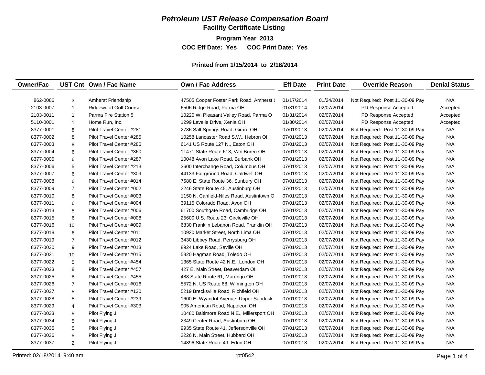## *Petroleum UST Release Compensation Board*

**Facility Certificate Listing**

**Program Year 2013**

**COC Eff Date: Yes COC Print Date: Yes** 

#### **Printed from 1/15/2014 to 2/18/2014**

| <b>Owner/Fac</b> |                | UST Cnt Own / Fac Name       | <b>Own / Fac Address</b>                  | <b>Eff Date</b> | <b>Print Date</b> | <b>Override Reason</b>          | <b>Denial Status</b> |
|------------------|----------------|------------------------------|-------------------------------------------|-----------------|-------------------|---------------------------------|----------------------|
|                  |                |                              |                                           |                 |                   |                                 |                      |
| 862-0086         | 3              | <b>Amherst Friendship</b>    | 47505 Cooper Foster Park Road, Amherst (  | 01/17/2014      | 01/24/2014        | Not Required: Post 11-30-09 Pay | N/A                  |
| 2103-0007        | $\mathbf{1}$   | <b>Ridgewood Golf Course</b> | 6506 Ridge Road, Parma OH                 | 01/31/2014      | 02/07/2014        | PD Response Accepted            | Accepted             |
| 2103-0011        | $\mathbf{1}$   | Parma Fire Station 5         | 10220 W. Pleasant Valley Road, Parma O    | 01/31/2014      | 02/07/2014        | PD Response Accepted            | Accepted             |
| 5110-0001        | $\mathbf{1}$   | Home Run, Inc.               | 1299 Lavelle Drive, Xenia OH              | 01/30/2014      | 02/07/2014        | PD Response Accepted            | Accepted             |
| 8377-0001        | 8              | Pilot Travel Center #281     | 2786 Salt Springs Road, Girard OH         | 07/01/2013      | 02/07/2014        | Not Required: Post 11-30-09 Pay | N/A                  |
| 8377-0002        | 8              | Pilot Travel Center #285     | 10258 Lancaster Road S.W., Hebron OH      | 07/01/2013      | 02/07/2014        | Not Required: Post 11-30-09 Pay | N/A                  |
| 8377-0003        | 8              | Pilot Travel Center #286     | 6141 US Route 127 N., Eaton OH            | 07/01/2013      | 02/07/2014        | Not Required: Post 11-30-09 Pay | N/A                  |
| 8377-0004        | 6              | Pilot Travel Center #360     | 11471 State Route 613, Van Buren OH       | 07/01/2013      | 02/07/2014        | Not Required: Post 11-30-09 Pay | N/A                  |
| 8377-0005        | 6              | Pilot Travel Center #287     | 10048 Avon Lake Road, Burbank OH          | 07/01/2013      | 02/07/2014        | Not Required: Post 11-30-09 Pay | N/A                  |
| 8377-0006        | 5              | Pilot Travel Center #213     | 3600 Interchange Road, Columbus OH        | 07/01/2013      | 02/07/2014        | Not Required: Post 11-30-09 Pay | N/A                  |
| 8377-0007        | 6              | Pilot Travel Center #309     | 44133 Fairground Road, Caldwell OH        | 07/01/2013      | 02/07/2014        | Not Required: Post 11-30-09 Pay | N/A                  |
| 8377-0008        | 6              | Pilot Travel Center #014     | 7680 E. State Route 36, Sunbury OH        | 07/01/2013      | 02/07/2014        | Not Required: Post 11-30-09 Pay | N/A                  |
| 8377-0009        | $\overline{7}$ | Pilot Travel Center #002     | 2246 State Route 45, Austinburg OH        | 07/01/2013      | 02/07/2014        | Not Required: Post 11-30-09 Pay | N/A                  |
| 8377-0010        | 8              | Pilot Travel Center #003     | 1150 N. Canfield-Niles Road, Austintown O | 07/01/2013      | 02/07/2014        | Not Required: Post 11-30-09 Pay | N/A                  |
| 8377-0011        | 6              | Pilot Travel Center #004     | 39115 Colorado Road, Avon OH              | 07/01/2013      | 02/07/2014        | Not Required: Post 11-30-09 Pay | N/A                  |
| 8377-0013        | 5              | Pilot Travel Center #006     | 61700 Southgate Road, Cambridge OH        | 07/01/2013      | 02/07/2014        | Not Required: Post 11-30-09 Pay | N/A                  |
| 8377-0015        | 6              | Pilot Travel Center #008     | 25600 U.S. Route 23, Circleville OH       | 07/01/2013      | 02/07/2014        | Not Required: Post 11-30-09 Pay | N/A                  |
| 8377-0016        | 10             | Pilot Travel Center #009     | 6830 Franklin Lebanon Road, Franklin OH   | 07/01/2013      | 02/07/2014        | Not Required: Post 11-30-09 Pay | N/A                  |
| 8377-0018        | 6              | Pilot Travel Center #011     | 10920 Market Street, North Lima OH        | 07/01/2013      | 02/07/2014        | Not Required: Post 11-30-09 Pay | N/A                  |
| 8377-0019        | $\overline{7}$ | Pilot Travel Center #012     | 3430 Libbey Road, Perrysburg OH           | 07/01/2013      | 02/07/2014        | Not Required: Post 11-30-09 Pay | N/A                  |
| 8377-0020        | 9              | Pilot Travel Center #013     | 8924 Lake Road, Seville OH                | 07/01/2013      | 02/07/2014        | Not Required: Post 11-30-09 Pay | N/A                  |
| 8377-0021        | 10             | Pilot Travel Center #015     | 5820 Hagman Road, Toledo OH               | 07/01/2013      | 02/07/2014        | Not Required: Post 11-30-09 Pay | N/A                  |
| 8377-0022        | 5              | Pilot Travel Center #454     | 1365 State Route 42 N.E., London OH       | 07/01/2013      | 02/07/2014        | Not Required: Post 11-30-09 Pay | N/A                  |
| 8377-0023        | 8              | Pilot Travel Center #457     | 427 E. Main Street, Beaverdam OH          | 07/01/2013      | 02/07/2014        | Not Required: Post 11-30-09 Pay | N/A                  |
| 8377-0025        | 8              | Pilot Travel Center #455     | 488 State Route 61, Marengo OH            | 07/01/2013      | 02/07/2014        | Not Required: Post 11-30-09 Pay | N/A                  |
| 8377-0026        | $\overline{7}$ | Pilot Travel Center #016     | 5572 N. US Route 68, Wilmington OH        | 07/01/2013      | 02/07/2014        | Not Required: Post 11-30-09 Pay | N/A                  |
| 8377-0027        | 5              | Pilot Travel Center #130     | 5219 Brecksville Road, Richfield OH       | 07/01/2013      | 02/07/2014        | Not Required: Post 11-30-09 Pay | N/A                  |
| 8377-0028        | 5              | Pilot Travel Center #239     | 1600 E. Wyandot Avenue, Upper Sandusk     | 07/01/2013      | 02/07/2014        | Not Required: Post 11-30-09 Pay | N/A                  |
| 8377-0029        | $\overline{4}$ | Pilot Travel Center #303     | 905 American Road, Napoleon OH            | 07/01/2013      | 02/07/2014        | Not Required: Post 11-30-09 Pay | N/A                  |
| 8377-0033        | 5              | Pilot Flying J               | 10480 Baltimore Road N.E., Millersport OH | 07/01/2013      | 02/07/2014        | Not Required: Post 11-30-09 Pay | N/A                  |
| 8377-0034        | 5              | Pilot Flying J               | 2349 Center Road, Austinburg OH           | 07/01/2013      | 02/07/2014        | Not Required: Post 11-30-09 Pay | N/A                  |
| 8377-0035        | 5              | Pilot Flying J               | 9935 State Route 41, Jeffersonville OH    | 07/01/2013      | 02/07/2014        | Not Required: Post 11-30-09 Pay | N/A                  |
| 8377-0036        | 5              | Pilot Flying J               | 2226 N. Main Street, Hubbard OH           | 07/01/2013      | 02/07/2014        | Not Required: Post 11-30-09 Pay | N/A                  |
| 8377-0037        | 2              | Pilot Flying J               | 14896 State Route 49, Edon OH             | 07/01/2013      | 02/07/2014        | Not Required: Post 11-30-09 Pay | N/A                  |
|                  |                |                              |                                           |                 |                   |                                 |                      |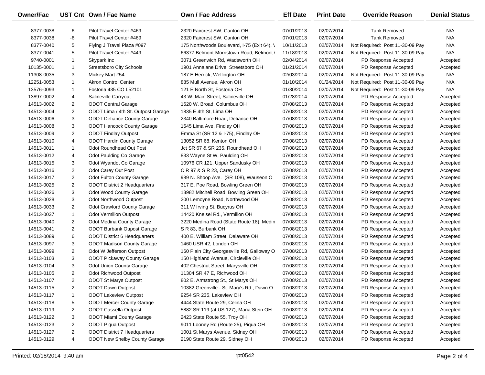| Owner/Fac  |                | UST Cnt Own / Fac Name               | Own / Fac Address                           | <b>Eff Date</b> | <b>Print Date</b> | <b>Override Reason</b>          | <b>Denial Status</b> |
|------------|----------------|--------------------------------------|---------------------------------------------|-----------------|-------------------|---------------------------------|----------------------|
| 8377-0038  | 6              | Pilot Travel Center #469             | 2320 Faircrest SW, Canton OH                | 07/01/2013      | 02/07/2014        | <b>Tank Removed</b>             | N/A                  |
| 8377-0038  | -6             | Pilot Travel Center #469             | 2320 Faircrest SW, Canton OH                | 07/01/2013      | 02/07/2014        | <b>Tank Removed</b>             | N/A                  |
| 8377-0040  | 5              | Flying J Travel Plaza #097           | 175 Northwoods Boulevard, I-75 (Exit 64), \ | 10/11/2013      | 02/07/2014        | Not Required: Post 11-30-09 Pay | N/A                  |
| 8377-0041  | 5              | Pilot Travel Center #449             | 66377 Belmont-Morristown Road, Belmont      | 11/18/2013      | 02/07/2014        | Not Required: Post 11-30-09 Pay | N/A                  |
| 9740-0001  | $\mathbf{1}$   | Skypark Inc                          | 3071 Greenwich Rd, Wadsworth OH             | 02/04/2014      | 02/07/2014        | PD Response Accepted            | Accepted             |
| 10135-0001 | $\mathbf{1}$   | <b>Streetsboro City Schools</b>      | 1901 Annalane Drive, Streetsboro OH         | 01/21/2014      | 02/07/2014        | PD Response Accepted            | Accepted             |
| 11308-0035 | 3              | Mickey Mart #54                      | 187 E Herrick, Wellington OH                | 02/03/2014      | 02/07/2014        | Not Required: Post 11-30-09 Pay | N/A                  |
| 12251-0053 | $\mathbf{1}$   | <b>Akron Control Center</b>          | 885 Mull Avenue, Akron OH                   | 01/10/2014      | 01/24/2014        | Not Required: Post 11-30-09 Pay | N/A                  |
| 13576-0093 | $\mathbf{1}$   | Fostoria 435 CO L52101               | 121 E North St, Fostoria OH                 | 01/30/2014      | 02/07/2014        | Not Required: Post 11-30-09 Pay | N/A                  |
| 13897-0002 | 4              | Salineville Carryout                 | 43 W. Main Street, Salineville OH           | 01/28/2014      | 02/07/2014        | PD Response Accepted            | Accepted             |
| 14513-0002 | $\overline{c}$ | <b>ODOT Central Garage</b>           | 1620 W. Broad, Columbus OH                  | 07/08/2013      | 02/07/2014        | PD Response Accepted            | Accepted             |
| 14513-0004 | $\overline{2}$ | ODOT Lima / 4th St. Outpost Garage   | 1835 E 4th St, Lima OH                      | 07/08/2013      | 02/07/2014        | PD Response Accepted            | Accepted             |
| 14513-0006 | 3              | <b>ODOT Defiance County Garage</b>   | 2340 Baltimore Road, Defiance OH            | 07/08/2013      | 02/07/2014        | PD Response Accepted            | Accepted             |
| 14513-0008 | 3              | <b>ODOT Hancock County Garage</b>    | 1645 Lima Ave, Findlay OH                   | 07/08/2013      | 02/07/2014        | PD Response Accepted            | Accepted             |
| 14513-0009 | $\overline{c}$ | <b>ODOT Findlay Outpost</b>          | Emma St (SR 12 & I-75), Findlay OH          | 07/08/2013      | 02/07/2014        | PD Response Accepted            | Accepted             |
| 14513-0010 | 4              | <b>ODOT Hardin County Garage</b>     | 13052 SR 68, Kenton OH                      | 07/08/2013      | 02/07/2014        | PD Response Accepted            | Accepted             |
| 14513-0011 | $\mathbf{1}$   | Odot Roundhead Out Post              | Jct SR 67 & SR 235, Roundhead OH            | 07/08/2013      | 02/07/2014        | PD Response Accepted            | Accepted             |
| 14513-0012 | 4              | Odot Paulding Co Garage              | 833 Wayne St W, Paulding OH                 | 07/08/2013      | 02/07/2014        | PD Response Accepted            | Accepted             |
| 14513-0015 | 3              | Odot Wyandot Co Garage               | 10976 CR 121, Upper Sandusky OH             | 07/08/2013      | 02/07/2014        | PD Response Accepted            | Accepted             |
| 14513-0016 | $\overline{2}$ | Odot Carey Out Post                  | C R 97 & S R 23, Carey OH                   | 07/08/2013      | 02/07/2014        | PD Response Accepted            | Accepted             |
| 14513-0017 | $\overline{2}$ | <b>Odot Fulton County Garage</b>     | 989 N. Shoop Ave. (SR 108), Wauseon O       | 07/08/2013      | 02/07/2014        | PD Response Accepted            | Accepted             |
| 14513-0025 | $\overline{c}$ | <b>ODOT District 2 Headquarters</b>  | 317 E. Poe Road, Bowling Green OH           | 07/08/2013      | 02/07/2014        | PD Response Accepted            | Accepted             |
| 14513-0026 | 3              | Odot Wood County Garage              | 13982 Mitchell Road, Bowling Green OH       | 07/08/2013      | 02/07/2014        | PD Response Accepted            | Accepted             |
| 14513-0028 | 3              | Odot Northwood Outpost               | 200 Lemoyne Road, Northwood OH              | 07/08/2013      | 02/07/2014        | PD Response Accepted            | Accepted             |
| 14513-0033 | $\overline{2}$ | <b>Odot Crawford County Garage</b>   | 311 W Irving St, Bucyrus OH                 | 07/08/2013      | 02/07/2014        | PD Response Accepted            | Accepted             |
| 14513-0037 | $\mathbf{1}$   | <b>Odot Vermilion Outpost</b>        | 14420 Kneisel Rd., Vermilion OH             | 07/08/2013      | 02/07/2014        | PD Response Accepted            | Accepted             |
| 14513-0040 | $\overline{2}$ | <b>Odot Medina County Garage</b>     | 3220 Medina Road (State Route 18), Medin    | 07/08/2013      | 02/07/2014        | PD Response Accepted            | Accepted             |
| 14513-0041 | $\overline{2}$ | <b>ODOT Burbank Oupost Garage</b>    | S R 83, Burbank OH                          | 07/08/2013      | 02/07/2014        | PD Response Accepted            | Accepted             |
| 14513-0089 | 6              | <b>ODOT District 6 Headquarters</b>  | 400 E. William Street, Delaware OH          | 07/08/2013      | 02/07/2014        | PD Response Accepted            | Accepted             |
| 14513-0097 | 3              | <b>ODOT Madison County Garage</b>    | 1460 USR 42, London OH                      | 07/08/2013      | 02/07/2014        | PD Response Accepted            | Accepted             |
| 14513-0099 | $\overline{2}$ | Odot W Jefferson Outpost             | 160 Plain City Georgesville Rd, Galloway O  | 07/08/2013      | 02/07/2014        | PD Response Accepted            | Accepted             |
| 14513-0103 | 3              | <b>ODOT Pickaway County Garage</b>   | 150 Highland Avenue, Circleville OH         | 07/08/2013      | 02/07/2014        | PD Response Accepted            | Accepted             |
| 14513-0104 | 3              | Odot Union County Garage             | 402 Chestnut Street, Marysville OH          | 07/08/2013      | 02/07/2014        | PD Response Accepted            | Accepted             |
| 14513-0105 | $\overline{2}$ | Odot Richwood Outpost                | 11304 SR 47 E, Richwood OH                  | 07/08/2013      | 02/07/2014        | PD Response Accepted            | Accepted             |
| 14513-0107 | $\overline{2}$ | <b>ODOT St Marys Outpost</b>         | 802 E. Armstrong St., St Marys OH           | 07/08/2013      | 02/07/2014        | PD Response Accepted            | Accepted             |
| 14513-0115 | 2              | <b>ODOT Dawn Outpost</b>             | 10382 Greenville - St. Mary's Rd., Dawn O   | 07/08/2013      | 02/07/2014        | PD Response Accepted            | Accepted             |
| 14513-0117 | $\mathbf{1}$   | <b>ODOT Lakeview Outpost</b>         | 9254 SR 235, Lakeview OH                    | 07/08/2013      | 02/07/2014        | PD Response Accepted            | Accepted             |
| 14513-0118 | 5              | <b>ODOT Mercer County Garage</b>     | 4444 State Route 29, Celina OH              | 07/08/2013      | 02/07/2014        | PD Response Accepted            | Accepted             |
| 14513-0119 | 2              | <b>ODOT Cassella Outpost</b>         | 5882 SR 119 (at US 127), Maria Stein OH     | 07/08/2013      | 02/07/2014        | PD Response Accepted            | Accepted             |
| 14513-0122 | 3              | <b>ODOT Miami County Garage</b>      | 2423 State Route 55, Troy OH                | 07/08/2013      | 02/07/2014        | PD Response Accepted            | Accepted             |
| 14513-0123 | 2              | ODOT Piqua Outpost                   | 9011 Looney Rd (Route 25), Piqua OH         | 07/08/2013      | 02/07/2014        | PD Response Accepted            | Accepted             |
| 14513-0127 | $\overline{2}$ | <b>ODOT District 7 Headquarters</b>  | 1001 St Marys Avenue, Sidney OH             | 07/08/2013      | 02/07/2014        | PD Response Accepted            | Accepted             |
| 14513-0129 | 4              | <b>ODOT New Shelby County Garage</b> | 2190 State Route 29, Sidney OH              | 07/08/2013      | 02/07/2014        | PD Response Accepted            | Accepted             |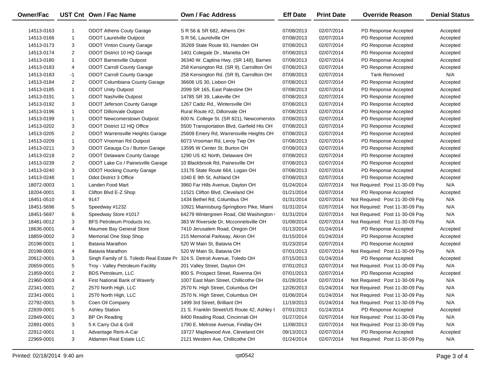| Owner/Fac  |                | UST Cnt Own / Fac Name                                                    | Own / Fac Address                           | <b>Eff Date</b> | <b>Print Date</b> | <b>Override Reason</b>          | <b>Denial Status</b> |
|------------|----------------|---------------------------------------------------------------------------|---------------------------------------------|-----------------|-------------------|---------------------------------|----------------------|
| 14513-0163 | -1             | <b>ODOT Athens Couty Garage</b>                                           | S R 56 & SR 682, Athens OH                  | 07/08/2013      | 02/07/2014        | PD Response Accepted            | Accepted             |
| 14513-0166 | 1              | <b>ODOT Laurelville Outpost</b>                                           | S R 56, Laurelville OH                      | 07/08/2013      | 02/07/2014        | PD Response Accepted            | Accepted             |
| 14513-0173 | 3              | <b>ODOT Vinton County Garage</b>                                          | 35269 State Route 93, Hamden OH             | 07/08/2013      | 02/07/2014        | PD Response Accepted            | Accepted             |
| 14513-0174 | $\overline{2}$ | ODOT District 10 HQ Garage                                                | 1401 Colegate Dr., Marietta OH              | 07/08/2013      | 02/07/2014        | PD Response Accepted            | Accepted             |
| 14513-0180 | 1              | <b>ODOT Barnesville Outpost</b>                                           | 36340 W. Captina Hwy. (SR 148), Barnes      | 07/08/2013      | 02/07/2014        | PD Response Accepted            | Accepted             |
| 14513-0183 | 4              | <b>ODOT Carroll County Garage</b>                                         | 258 Kensington Rd. (SR 9), Carrollton OH    | 07/08/2013      | 02/07/2014        | PD Response Accepted            | Accepted             |
| 14513-0183 | -1             | <b>ODOT Carroll County Garage</b>                                         | 258 Kensington Rd. (SR 9), Carrollton OH    | 07/08/2013      | 02/07/2014        | <b>Tank Removed</b>             | N/A                  |
| 14513-0184 | $\overline{2}$ | ODOT Columbiana County Garage                                             | 36606 US 30, Lisbon OH                      | 07/08/2013      | 02/07/2014        | PD Response Accepted            | Accepted             |
| 14513-0185 | 1              | <b>ODOT Unity Outpost</b>                                                 | 2099 SR 165, East Palestine OH              | 07/08/2013      | 02/07/2014        | PD Response Accepted            | Accepted             |
| 14513-0191 | 1              | <b>ODOT Nashville Outpost</b>                                             | 14785 SR 39, Lakeville OH                   | 07/08/2013      | 02/07/2014        | PD Response Accepted            | Accepted             |
| 14513-0192 | 3              | <b>ODOT Jeferson County Garage</b>                                        | 1267 Cadiz Rd., Wintersville OH             | 07/08/2013      | 02/07/2014        | PD Response Accepted            | Accepted             |
| 14513-0196 | 1              | <b>ODOT Dillonvale Outpost</b>                                            | Rural Route #2, Dillonvale OH               | 07/08/2013      | 02/07/2014        | PD Response Accepted            | Accepted             |
| 14513-0199 | 1              | <b>ODOT Newcomerstown Outpost</b>                                         | 600 N. College St. (SR 821), Newcomersto    | 07/08/2013      | 02/07/2014        | PD Response Accepted            | Accepted             |
| 14513-0202 | 3              | ODOT District 12 HQ Office                                                | 5500 Transportation Blvd, Garfield Hts OH   | 07/08/2013      | 02/07/2014        | PD Response Accepted            | Accepted             |
| 14513-0205 | $\overline{2}$ | <b>ODOT Warrensville Heights Garage</b>                                   | 25609 Emery Rd, Warrensville Heights OH     | 07/08/2013      | 02/07/2014        | PD Response Accepted            | Accepted             |
| 14513-0209 | 1              | <b>ODOT Vrooman Rd Outpost</b>                                            | 6073 Vrooman Rd, Leroy Twp OH               | 07/08/2013      | 02/07/2014        | PD Response Accepted            | Accepted             |
| 14513-0211 | 3              | ODOT Geauga Co / Burton Garage                                            | 13595 W Center St, Burton OH                | 07/08/2013      | 02/07/2014        | PD Response Accepted            | Accepted             |
| 14513-0218 | $\overline{2}$ | <b>ODOT Delaware County Garage</b>                                        | 1290 US 42 North, Delaware OH               | 07/08/2013      | 02/07/2014        | PD Response Accepted            | Accepted             |
| 14513-0239 | $\overline{2}$ | ODOT Lake Co / Painesville Garage                                         | 10 Blackbrook Rd, Painesville OH            | 07/08/2013      | 02/07/2014        | PD Response Accepted            | Accepted             |
| 14513-0240 | 3              | <b>ODOT Hocking County Garage</b>                                         | 13176 State Route 664, Logan OH             | 07/08/2013      | 02/07/2014        | PD Response Accepted            | Accepted             |
| 14513-0248 | $\mathbf{1}$   | Odot District 3 Office                                                    | 1040 E 9th St, Ashland OH                   | 07/08/2013      | 02/07/2014        | PD Response Accepted            | Accepted             |
| 18072-0003 | 1              | Landen Food Mart                                                          | 3960 Far Hills Avenue, Dayton OH            | 01/24/2014      | 02/07/2014        | Not Required: Post 11-30-09 Pay | N/A                  |
| 18204-0001 | 3              | Clifton Blvd E-Z Shop                                                     | 11521 Clifton Blvd, Cleveland OH            | 01/21/2014      | 02/07/2014        | PD Response Accepted            | Accepted             |
| 18451-0510 | 4              | 9147                                                                      | 1434 Bethel Rd, Columbus OH                 | 01/31/2014      | 02/07/2014        | Not Required: Post 11-30-09 Pay | N/A                  |
| 18451-5696 | 5              | Speedway #1232                                                            | 10921 Miamisburg-Springboro Pike, Miami     | 01/31/2014      | 02/07/2014        | Not Required: Post 11-30-09 Pay | N/A                  |
| 18451-5697 | 6              | Speedway Store #1017                                                      | 64279 Wintergreen Road, Old Washington      | 01/31/2014      | 02/07/2014        | Not Required: Post 11-30-09 Pay | N/A                  |
| 18481-0012 | 3              | BFS Petroleum Products Inc.                                               | 383 W Riverside Dr, Mcconnelsville OH       | 01/09/2014      | 02/07/2014        | Not Required: Post 11-30-09 Pay | N/A                  |
| 18636-0001 | 4              | Maumee Bay General Store                                                  | 7410 Jerusalem Road, Oregon OH              | 01/13/2014      | 01/24/2014        | PD Response Accepted            | Accepted             |
| 18859-0002 | 3              | Memorial One Stop Shop                                                    | 215 Memorial Parkway, Akron OH              | 01/15/2014      | 01/24/2014        | PD Response Accepted            | Accepted             |
| 20198-0001 | $\mathbf{1}$   | Batavia Marathon                                                          | 520 W Main St, Batavia OH                   | 01/23/2014      | 02/07/2014        | PD Response Accepted            | Accepted             |
| 20198-0001 | 4              | Batavia Marathon                                                          | 520 W Main St, Batavia OH                   | 07/01/2013      | 02/07/2014        | Not Required: Post 11-30-09 Pay | N/A                  |
| 20612-0001 | 3              | Singh Family of S. Toledo Real Estate Pr 324 S. Detroit Avenue, Toledo OH |                                             | 07/15/2013      | 01/24/2014        | PD Response Accepted            | Accepted             |
| 20659-0001 | 5              | Troy - Valley Petroleum Facility                                          | 201 Valley Street, Dayton OH                | 07/01/2013      | 02/07/2014        | Not Required: Post 11-30-09 Pay | N/A                  |
| 21859-0001 | $\overline{2}$ | <b>BDS Petroleum, LLC</b>                                                 | 800 S. Prospect Street, Ravenna OH          | 07/01/2013      | 02/07/2014        | PD Response Accepted            | Accepted             |
| 21960-0003 | 4              | First National Bank of Waverly                                            | 1007 East Main Street, Chillicothe OH       | 01/28/2014      | 02/07/2014        | Not Required: Post 11-30-09 Pay | N/A                  |
| 22341-0001 | $\overline{2}$ | 2570 North High, LLC                                                      | 2570 N. High Street, Columbus OH            | 12/26/2013      | 01/24/2014        | Not Required: Post 11-30-09 Pay | N/A                  |
| 22341-0001 | 1              | 2570 North High, LLC                                                      | 2570 N. High Street, Columbus OH            | 01/06/2014      | 01/24/2014        | Not Required: Post 11-30-09 Pay | N/A                  |
| 22792-0001 | 5              | Coen Oil Company                                                          | 1499 3rd Street, Brilliant OH               | 11/19/2013      | 01/24/2014        | Not Required: Post 11-30-09 Pay | N/A                  |
| 22839-0001 | 5              | <b>Ashley Station</b>                                                     | 21 S. Franklin Street/US Route 42, Ashley ( | 07/01/2013      | 01/24/2014        | PD Response Accepted            | Accepted             |
| 22849-0001 | 3              | BP On Reading                                                             | 8400 Reading Road, Cincinnati OH            | 01/27/2014      | 02/07/2014        | Not Required: Post 11-30-09 Pay | N/A                  |
| 22891-0001 | 3              | 5 K Carry Out & Grill                                                     | 1790 E. Melrose Avenue, Findlay OH          | 11/08/2013      | 02/07/2014        | Not Required: Post 11-30-09 Pay | N/A                  |
| 22912-0001 | -1             | Advantage Rent-A-Car                                                      | 19727 Maplewood Ave, Cleveland OH           | 09/13/2013      | 02/07/2014        | PD Response Accepted            | Accepted             |
| 22969-0001 | 3              | Aldamen Real Estate LLC                                                   | 2121 Western Ave, Chillicothe OH            | 01/24/2014      | 02/07/2014        | Not Required: Post 11-30-09 Pay | N/A                  |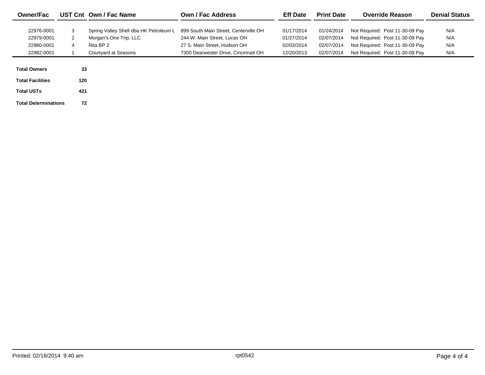| <b>Owner/Fac</b>            |     | UST Cnt Own / Fac Name                 | <b>Own / Fac Address</b>              | <b>Eff Date</b> | <b>Print Date</b> | <b>Override Reason</b>          | <b>Denial Status</b> |
|-----------------------------|-----|----------------------------------------|---------------------------------------|-----------------|-------------------|---------------------------------|----------------------|
|                             |     |                                        |                                       |                 |                   |                                 |                      |
| 22976-0001                  | 3   | Spring Valley Shell dba HK Petroleum L | 899 South Main Street, Centerville OH | 01/17/2014      | 01/24/2014        | Not Required: Post 11-30-09 Pay | N/A                  |
| 22979-0001                  | 2   | Morgan's One Trip, LLC                 | 244 W. Main Street, Lucas OH          | 01/27/2014      | 02/07/2014        | Not Required: Post 11-30-09 Pay | N/A                  |
| 22980-0001                  | 4   | Rita BP 2                              | 27 S. Main Street. Hudson OH          | 02/03/2014      | 02/07/2014        | Not Required: Post 11-30-09 Pay | N/A                  |
| 22982-0001                  |     | Courtyard at Seasons                   | 7300 Dearwester Drive, Cincinnati OH  | 12/20/2013      | 02/07/2014        | Not Required: Post 11-30-09 Pay | N/A                  |
|                             |     |                                        |                                       |                 |                   |                                 |                      |
| <b>Total Owners</b>         | 33  |                                        |                                       |                 |                   |                                 |                      |
| <b>Total Facilities</b>     | 120 |                                        |                                       |                 |                   |                                 |                      |
| <b>Total USTs</b>           | 421 |                                        |                                       |                 |                   |                                 |                      |
| <b>Total Determinations</b> | 72  |                                        |                                       |                 |                   |                                 |                      |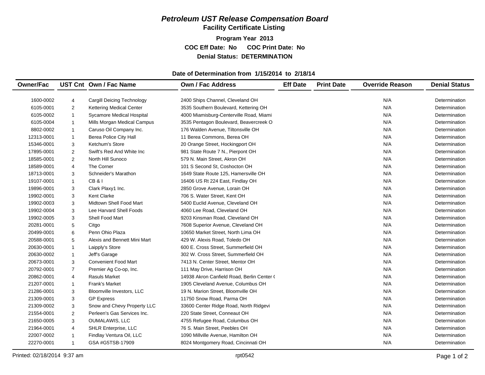## *Petroleum UST Release Compensation Board*  **Facility Certificate Listing**

**Program Year 2013 COC Eff Date: No COC Print Date: No Denial Status: DETERMINATION**

### **Date of Determination from 1/15/2014 to 2/18/14**

| <b>Owner/Fac</b> |                         | UST Cnt Own / Fac Name            | <b>Own / Fac Address</b>                   | <b>Eff Date</b> | <b>Print Date</b> | <b>Override Reason</b> | <b>Denial Status</b> |
|------------------|-------------------------|-----------------------------------|--------------------------------------------|-----------------|-------------------|------------------------|----------------------|
|                  |                         |                                   |                                            |                 |                   |                        |                      |
| 1600-0002        | $\overline{4}$          | <b>Cargill Deicing Technology</b> | 2400 Ships Channel, Cleveland OH           |                 |                   | N/A                    | Determination        |
| 6105-0001        | $\overline{2}$          | <b>Kettering Medical Center</b>   | 3535 Southern Boulevard, Kettering OH      |                 |                   | N/A                    | Determination        |
| 6105-0002        | $\mathbf{1}$            | Sycamore Medical Hospital         | 4000 Miamisburg-Centerville Road, Miami    |                 |                   | N/A                    | Determination        |
| 6105-0004        | $\mathbf{1}$            | Mills Morgan Medical Campus       | 3535 Pentagon Boulevard, Beavercreek O     |                 |                   | N/A                    | Determination        |
| 8802-0002        | $\mathbf{1}$            | Caruso Oil Company Inc.           | 176 Walden Avenue, Tiltonsville OH         |                 |                   | N/A                    | Determination        |
| 12313-0001       | $\mathbf{1}$            | Berea Police City Hall            | 11 Berea Commons, Berea OH                 |                 |                   | N/A                    | Determination        |
| 15346-0001       | 3                       | Ketchum's Store                   | 20 Orange Street, Hockingport OH           |                 |                   | N/A                    | Determination        |
| 17895-0001       | $\overline{\mathbf{c}}$ | Swift's Red And White Inc         | 981 State Route 7 N., Pierpont OH          |                 |                   | N/A                    | Determination        |
| 18585-0001       | $\overline{2}$          | North Hill Sunoco                 | 579 N. Main Street, Akron OH               |                 |                   | N/A                    | Determination        |
| 18589-0001       | 4                       | The Corner                        | 101 S Second St, Coshocton OH              |                 |                   | N/A                    | Determination        |
| 18713-0001       | 3                       | Schneider's Marathon              | 1649 State Route 125, Hamersville OH       |                 |                   | N/A                    | Determination        |
| 19107-0001       | $\mathbf{1}$            | <b>CB&amp;I</b>                   | 16406 US Rt 224 East, Findlay OH           |                 |                   | N/A                    | Determination        |
| 19896-0001       | 3                       | Clark Plaxy1 Inc.                 | 2850 Grove Avenue, Lorain OH               |                 |                   | N/A                    | Determination        |
| 19902-0001       | 3                       | <b>Kent Clarke</b>                | 706 S. Water Street, Kent OH               |                 |                   | N/A                    | Determination        |
| 19902-0003       | 3                       | Midtown Shell Food Mart           | 5400 Euclid Avenue, Cleveland OH           |                 |                   | N/A                    | Determination        |
| 19902-0004       | 3                       | Lee Harvard Shell Foods           | 4060 Lee Road, Cleveland OH                |                 |                   | N/A                    | Determination        |
| 19902-0005       | 3                       | Shell Food Mart                   | 9203 Kinsman Road, Cleveland OH            |                 |                   | N/A                    | Determination        |
| 20281-0001       | 5                       | Citgo                             | 7608 Superior Avenue, Cleveland OH         |                 |                   | N/A                    | Determination        |
| 20499-0001       | 6                       | Penn Ohio Plaza                   | 10650 Market Street, North Lima OH         |                 |                   | N/A                    | Determination        |
| 20588-0001       | 5                       | Alexis and Bennett Mini Mart      | 429 W. Alexis Road, Toledo OH              |                 |                   | N/A                    | Determination        |
| 20630-0001       | $\mathbf{1}$            | Laipply's Store                   | 600 E. Cross Street, Summerfield OH        |                 |                   | N/A                    | Determination        |
| 20630-0002       | $\mathbf{1}$            | Jeff's Garage                     | 302 W. Cross Street, Summerfield OH        |                 |                   | N/A                    | Determination        |
| 20673-0001       | 3                       | <b>Convenient Food Mart</b>       | 7413 N. Center Street, Mentor OH           |                 |                   | N/A                    | Determination        |
| 20792-0001       | $\overline{7}$          | Premier Ag Co-op, Inc.            | 111 May Drive, Harrison OH                 |                 |                   | N/A                    | Determination        |
| 20862-0001       | 4                       | <b>Rasuls Market</b>              | 14938 Akron Canfield Road, Berlin Center ( |                 |                   | N/A                    | Determination        |
| 21207-0001       | 1                       | Frank's Market                    | 1905 Cleveland Avenue, Columbus OH         |                 |                   | N/A                    | Determination        |
| 21286-0001       | 3                       | Bloomville Investors, LLC         | 19 N. Marion Street, Bloomville OH         |                 |                   | N/A                    | Determination        |
| 21309-0001       | 3                       | <b>GP Express</b>                 | 11750 Snow Road, Parma OH                  |                 |                   | N/A                    | Determination        |
| 21309-0002       | 3                       | Snow and Chevy Property LLC       | 33600 Center Ridge Road, North Ridgevi     |                 |                   | N/A                    | Determination        |
| 21554-0001       | $\overline{2}$          | Perleen's Gas Services Inc.       | 220 State Street, Conneaut OH              |                 |                   | N/A                    | Determination        |
| 21650-0005       | 3                       | OUMALAWIS, LLC                    | 4755 Refugee Road, Columbus OH             |                 |                   | N/A                    | Determination        |
| 21964-0001       | 4                       | SHLR Enterprise, LLC              | 76 S. Main Street, Peebles OH              |                 |                   | N/A                    | Determination        |
| 22007-0002       | $\mathbf{1}$            | Findlay Ventura Oil, LLC          | 1090 Millville Avenue, Hamilton OH         |                 |                   | N/A                    | Determination        |
| 22270-0001       | $\mathbf{1}$            | GSA #G5TSB-17909                  | 8024 Montgomery Road, Cincinnati OH        |                 |                   | N/A                    | Determination        |